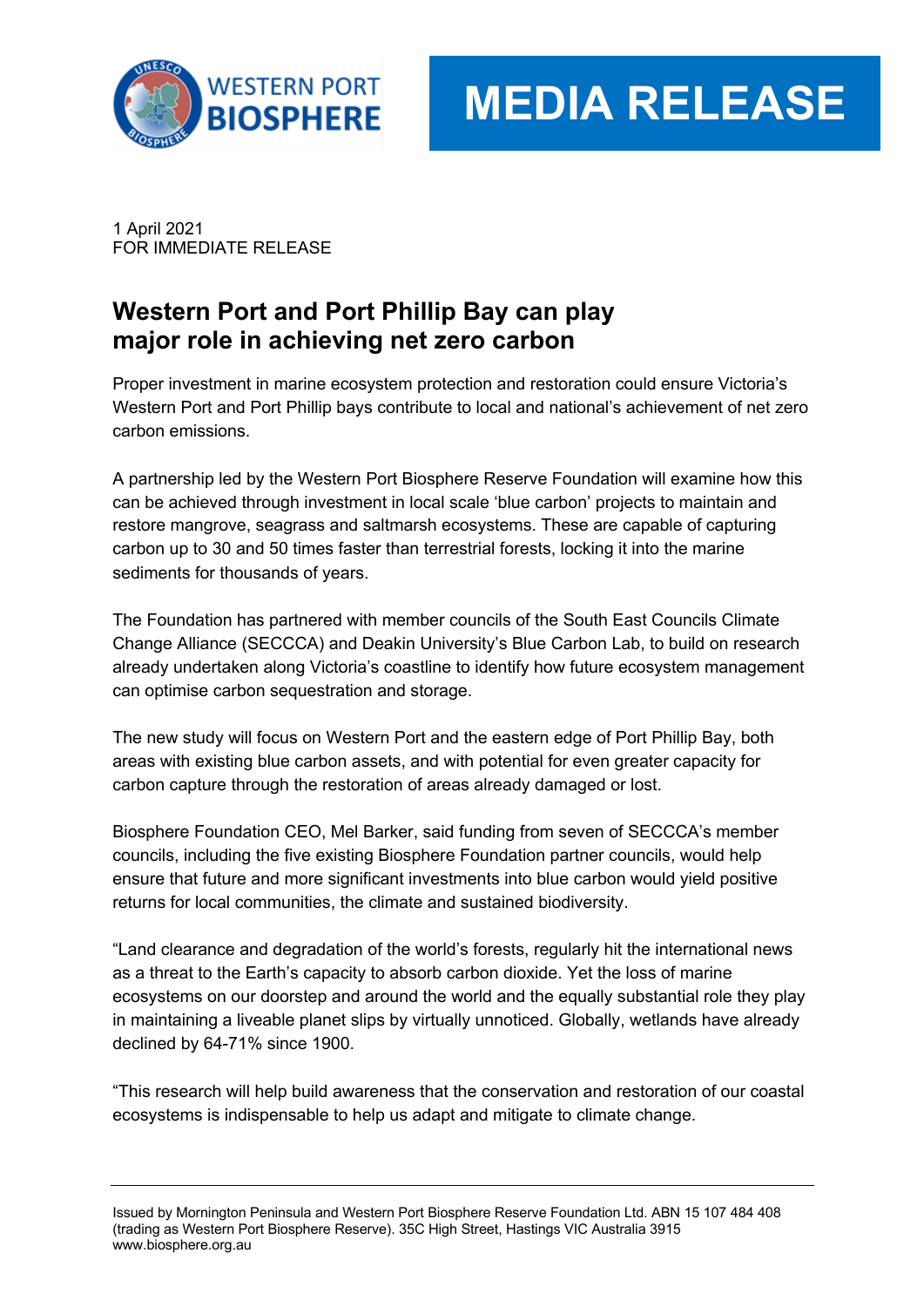

# **MEDIA RELEASE**

1 April 2021 FOR IMMEDIATE RELEASE

# **Western Port and Port Phillip Bay can play major role in achieving net zero carbon**

Proper investment in marine ecosystem protection and restoration could ensure Victoria's Western Port and Port Phillip bays contribute to local and national's achievement of net zero carbon emissions.

A partnership led by the Western Port Biosphere Reserve Foundation will examine how this can be achieved through investment in local scale 'blue carbon' projects to maintain and restore mangrove, seagrass and saltmarsh ecosystems. These are capable of capturing carbon up to 30 and 50 times faster than terrestrial forests, locking it into the marine sediments for thousands of years.

The Foundation has partnered with member councils of the South East Councils Climate Change Alliance (SECCCA) and Deakin University's Blue Carbon Lab, to build on research already undertaken along Victoria's coastline to identify how future ecosystem management can optimise carbon sequestration and storage.

The new study will focus on Western Port and the eastern edge of Port Phillip Bay, both areas with existing blue carbon assets, and with potential for even greater capacity for carbon capture through the restoration of areas already damaged or lost.

Biosphere Foundation CEO, Mel Barker, said funding from seven of SECCCA's member councils, including the five existing Biosphere Foundation partner councils, would help ensure that future and more significant investments into blue carbon would yield positive returns for local communities, the climate and sustained biodiversity.

"Land clearance and degradation of the world's forests, regularly hit the international news as a threat to the Earth's capacity to absorb carbon dioxide. Yet the loss of marine ecosystems on our doorstep and around the world and the equally substantial role they play in maintaining a liveable planet slips by virtually unnoticed. Globally, wetlands have already declined by 64-71% since 1900.

"This research will help build awareness that the conservation and restoration of our coastal ecosystems is indispensable to help us adapt and mitigate to climate change.

Issued by Mornington Peninsula and Western Port Biosphere Reserve Foundation Ltd. ABN 15 107 484 408 (trading as Western Port Biosphere Reserve). 35C High Street, Hastings VIC Australia 3915 www.biosphere.org.au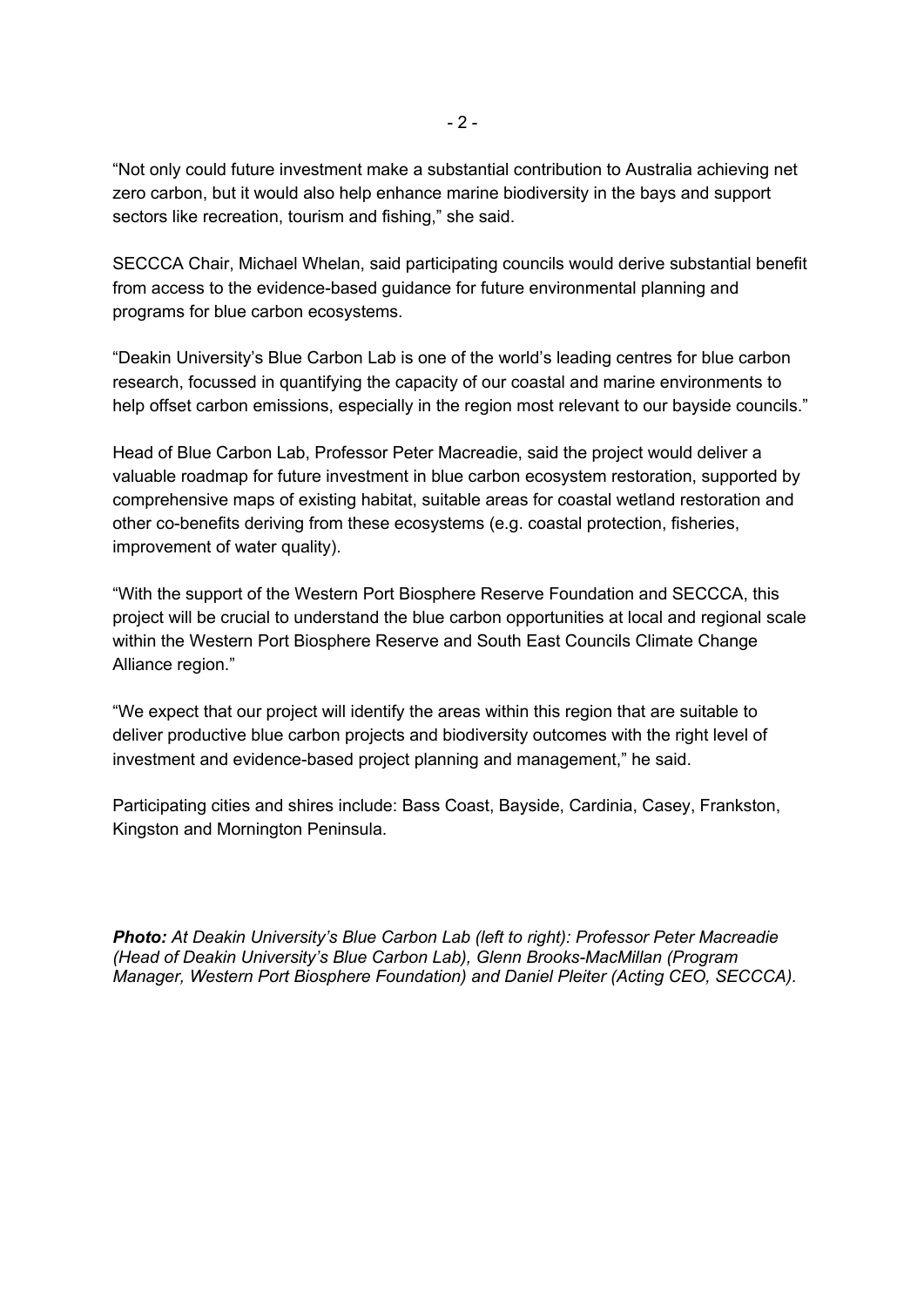"Not only could future investment make a substantial contribution to Australia achieving net zero carbon, but it would also help enhance marine biodiversity in the bays and support sectors like recreation, tourism and fishing," she said.

SECCCA Chair, Michael Whelan, said participating councils would derive substantial benefit from access to the evidence-based guidance for future environmental planning and programs for blue carbon ecosystems.

"Deakin University's Blue Carbon Lab is one of the world's leading centres for blue carbon research, focussed in quantifying the capacity of our coastal and marine environments to help offset carbon emissions, especially in the region most relevant to our bayside councils."

Head of Blue Carbon Lab, Professor Peter Macreadie, said the project would deliver a valuable roadmap for future investment in blue carbon ecosystem restoration, supported by comprehensive maps of existing habitat, suitable areas for coastal wetland restoration and other co-benefits deriving from these ecosystems (e.g. coastal protection, fisheries, improvement of water quality).

"With the support of the Western Port Biosphere Reserve Foundation and SECCCA, this project will be crucial to understand the blue carbon opportunities at local and regional scale within the Western Port Biosphere Reserve and South East Councils Climate Change Alliance region."

"We expect that our project will identify the areas within this region that are suitable to deliver productive blue carbon projects and biodiversity outcomes with the right level of investment and evidence-based project planning and management," he said.

Participating cities and shires include: Bass Coast, Bayside, Cardinia, Casey, Frankston, Kingston and Mornington Peninsula.

*Photo: At Deakin University's Blue Carbon Lab (left to right): Professor Peter Macreadie (Head of Deakin University's Blue Carbon Lab), Glenn Brooks-MacMillan (Program Manager, Western Port Biosphere Foundation) and Daniel Pleiter (Acting CEO, SECCCA).*